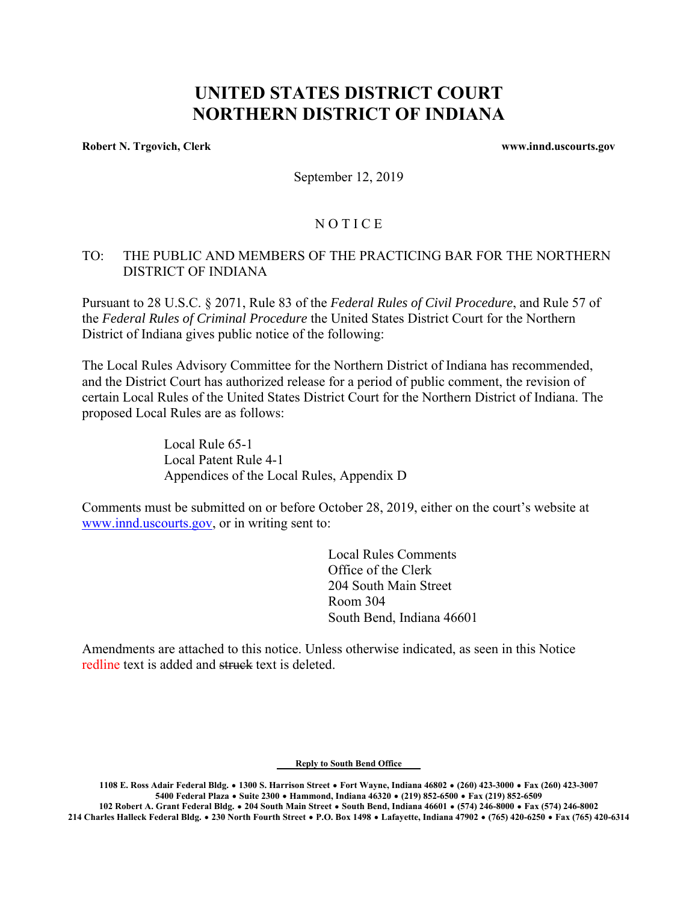# **UNITED STATES DISTRICT COURT NORTHERN DISTRICT OF INDIANA**

**Robert N. Trgovich, Clerk www.innd.uscourts.gov www.innd.uscourts.gov** 

September 12, 2019

## **NOTICE**

## TO: THE PUBLIC AND MEMBERS OF THE PRACTICING BAR FOR THE NORTHERN DISTRICT OF INDIANA

Pursuant to 28 U.S.C. § 2071, Rule 83 of the *Federal Rules of Civil Procedure*, and Rule 57 of the *Federal Rules of Criminal Procedure* the United States District Court for the Northern District of Indiana gives public notice of the following:

The Local Rules Advisory Committee for the Northern District of Indiana has recommended, and the District Court has authorized release for a period of public comment, the revision of certain Local Rules of the United States District Court for the Northern District of Indiana. The proposed Local Rules are as follows:

> Local Rule 65-1 Local Patent Rule 4-1 Appendices of the Local Rules, Appendix D

Comments must be submitted on or before October 28, 2019, either on the court's website at www.innd.uscourts.gov, or in writing sent to:

> Local Rules Comments Office of the Clerk 204 South Main Street Room 304 South Bend, Indiana 46601

Amendments are attached to this notice. Unless otherwise indicated, as seen in this Notice redline text is added and struck text is deleted.

**Reply to South Bend Office** 

**1108 E. Ross Adair Federal Bldg.** \$ **1300 S. Harrison Street** \$ **Fort Wayne, Indiana 46802** \$ **(260) 423-3000** \$ **Fax (260) 423-3007 5400 Federal Plaza** \$ **Suite 2300** \$ **Hammond, Indiana 46320** \$ **(219) 852-6500** \$ **Fax (219) 852-6509** 

**102 Robert A. Grant Federal Bldg.** \$ **204 South Main Street** \$ **South Bend, Indiana 46601** \$ **(574) 246-8000** \$ **Fax (574) 246-8002 214 Charles Halleck Federal Bldg.** \$ **230 North Fourth Street** \$ **P.O. Box 1498** \$ **Lafayette, Indiana 47902** \$ **(765) 420-6250** \$ **Fax (765) 420-6314**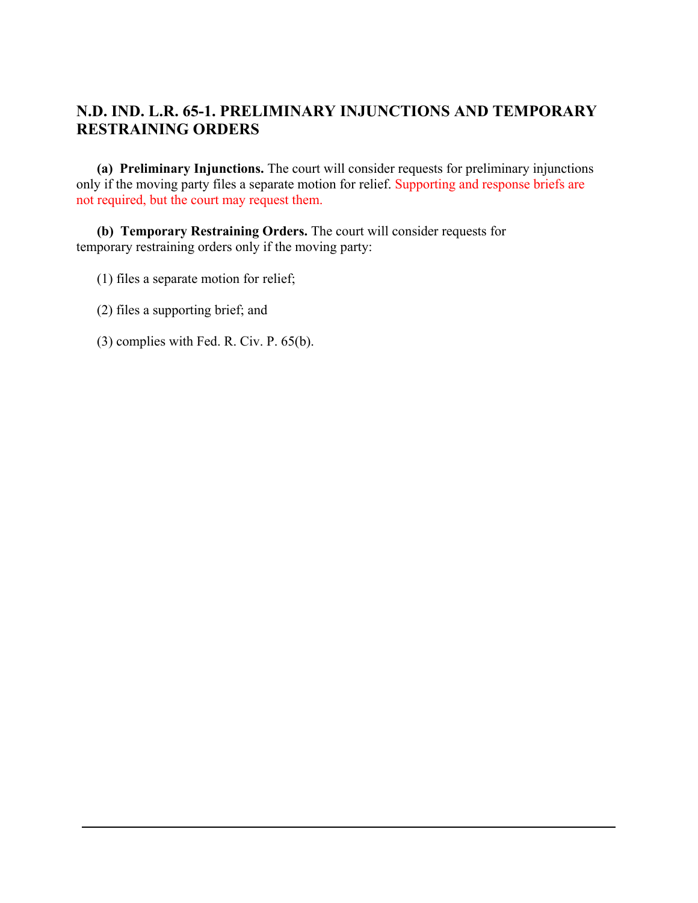# **N.D. IND. L.R. 65-1. PRELIMINARY INJUNCTIONS AND TEMPORARY RESTRAINING ORDERS**

 **(a) Preliminary Injunctions.** The court will consider requests for preliminary injunctions only if the moving party files a separate motion for relief. Supporting and response briefs are not required, but the court may request them.

 **(b) Temporary Restraining Orders.** The court will consider requests for temporary restraining orders only if the moving party:

- (1) files a separate motion for relief;
- (2) files a supporting brief; and
- (3) complies with Fed. R. Civ. P. 65(b).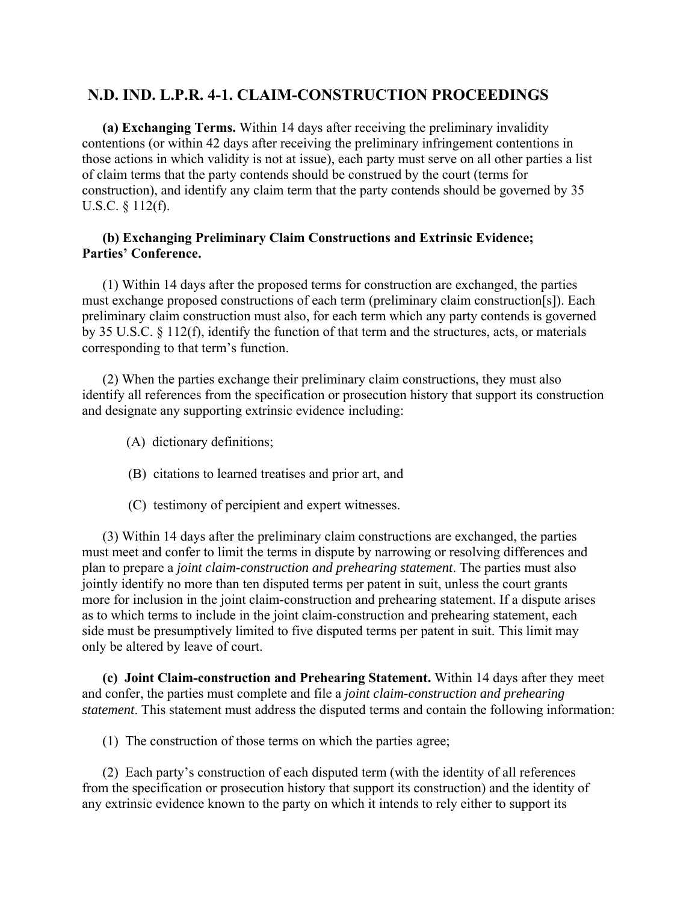# **N.D. IND. L.P.R. 4-1. CLAIM-CONSTRUCTION PROCEEDINGS**

 **(a) Exchanging Terms.** Within 14 days after receiving the preliminary invalidity contentions (or within 42 days after receiving the preliminary infringement contentions in those actions in which validity is not at issue), each party must serve on all other parties a list of claim terms that the party contends should be construed by the court (terms for construction), and identify any claim term that the party contends should be governed by 35 U.S.C. § 112(f).

#### **(b) Exchanging Preliminary Claim Constructions and Extrinsic Evidence; Parties' Conference.**

 (1) Within 14 days after the proposed terms for construction are exchanged, the parties must exchange proposed constructions of each term (preliminary claim construction[s]). Each preliminary claim construction must also, for each term which any party contends is governed by 35 U.S.C. § 112(f), identify the function of that term and the structures, acts, or materials corresponding to that term's function.

 (2) When the parties exchange their preliminary claim constructions, they must also identify all references from the specification or prosecution history that support its construction and designate any supporting extrinsic evidence including:

- (A) dictionary definitions;
- (B) citations to learned treatises and prior art, and
- (C) testimony of percipient and expert witnesses.

 (3) Within 14 days after the preliminary claim constructions are exchanged, the parties must meet and confer to limit the terms in dispute by narrowing or resolving differences and plan to prepare a *joint claim-construction and prehearing statement*. The parties must also jointly identify no more than ten disputed terms per patent in suit, unless the court grants more for inclusion in the joint claim-construction and prehearing statement. If a dispute arises as to which terms to include in the joint claim-construction and prehearing statement, each side must be presumptively limited to five disputed terms per patent in suit. This limit may only be altered by leave of court.

 **(c) Joint Claim-construction and Prehearing Statement.** Within 14 days after they meet and confer, the parties must complete and file a *joint claim-construction and prehearing statement*. This statement must address the disputed terms and contain the following information:

(1) The construction of those terms on which the parties agree;

 (2) Each party's construction of each disputed term (with the identity of all references from the specification or prosecution history that support its construction) and the identity of any extrinsic evidence known to the party on which it intends to rely either to support its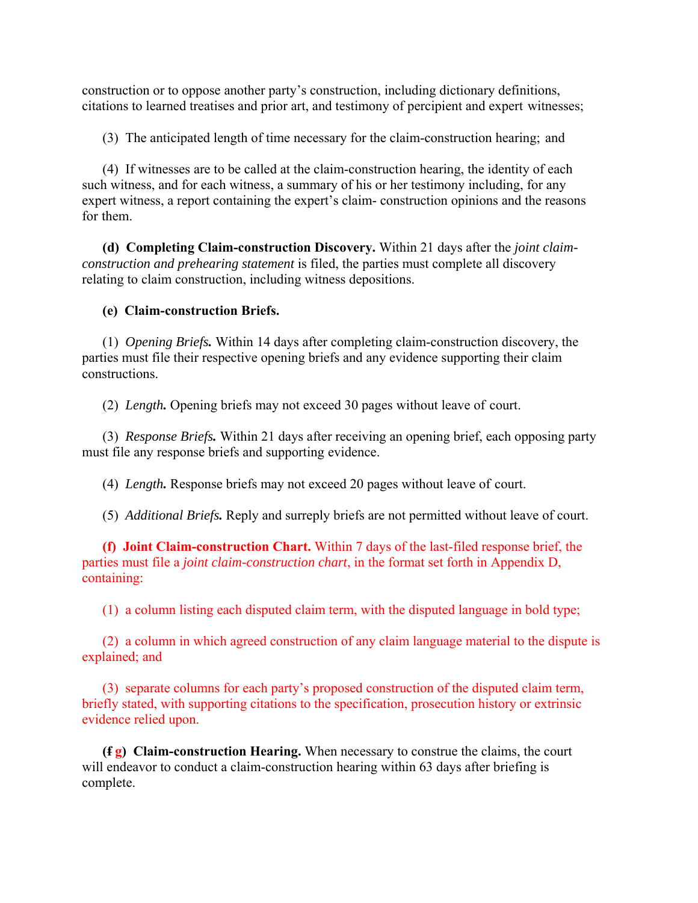construction or to oppose another party's construction, including dictionary definitions, citations to learned treatises and prior art, and testimony of percipient and expert witnesses;

(3) The anticipated length of time necessary for the claim-construction hearing; and

 (4) If witnesses are to be called at the claim-construction hearing, the identity of each such witness, and for each witness, a summary of his or her testimony including, for any expert witness, a report containing the expert's claim- construction opinions and the reasons for them.

 **(d) Completing Claim-construction Discovery.** Within 21 days after the *joint claimconstruction and prehearing statement* is filed, the parties must complete all discovery relating to claim construction, including witness depositions.

### **(e) Claim-construction Briefs.**

(1) *Opening Briefs.* Within 14 days after completing claim-construction discovery, the parties must file their respective opening briefs and any evidence supporting their claim constructions.

(2) *Length.* Opening briefs may not exceed 30 pages without leave of court.

(3) *Response Briefs.* Within 21 days after receiving an opening brief, each opposing party must file any response briefs and supporting evidence.

(4) *Length.* Response briefs may not exceed 20 pages without leave of court.

(5) *Additional Briefs.* Reply and surreply briefs are not permitted without leave of court.

 **(f) Joint Claim-construction Chart.** Within 7 days of the last-filed response brief, the parties must file a *joint claim-construction chart*, in the format set forth in Appendix D, containing:

(1) a column listing each disputed claim term, with the disputed language in bold type;

 (2) a column in which agreed construction of any claim language material to the dispute is explained; and

 (3) separate columns for each party's proposed construction of the disputed claim term, briefly stated, with supporting citations to the specification, prosecution history or extrinsic evidence relied upon.

 **(f g) Claim-construction Hearing.** When necessary to construe the claims, the court will endeavor to conduct a claim-construction hearing within 63 days after briefing is complete.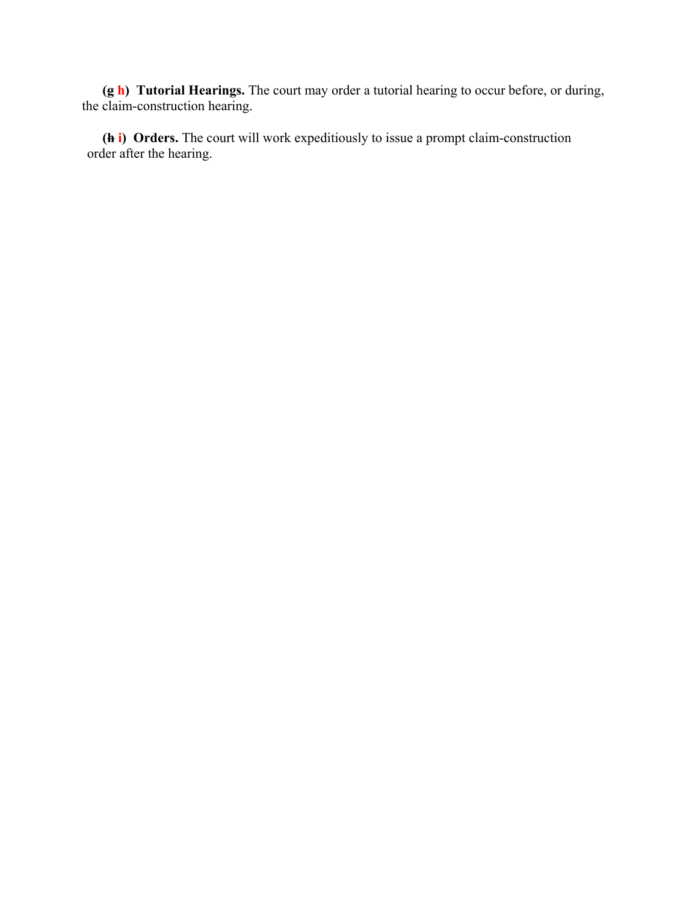**(g h) Tutorial Hearings.** The court may order a tutorial hearing to occur before, or during, the claim-construction hearing.

 **(h i) Orders.** The court will work expeditiously to issue a prompt claim-construction order after the hearing.